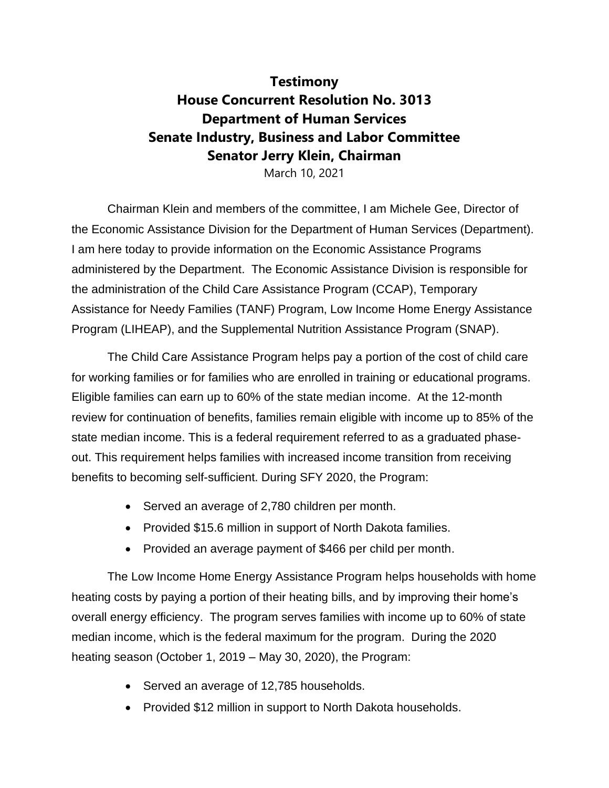## **Testimony House Concurrent Resolution No. 3013 Department of Human Services Senate Industry, Business and Labor Committee Senator Jerry Klein, Chairman**

March 10, 2021

Chairman Klein and members of the committee, I am Michele Gee, Director of the Economic Assistance Division for the Department of Human Services (Department). I am here today to provide information on the Economic Assistance Programs administered by the Department. The Economic Assistance Division is responsible for the administration of the Child Care Assistance Program (CCAP), Temporary Assistance for Needy Families (TANF) Program, Low Income Home Energy Assistance Program (LIHEAP), and the Supplemental Nutrition Assistance Program (SNAP).

The Child Care Assistance Program helps pay a portion of the cost of child care for working families or for families who are enrolled in training or educational programs. Eligible families can earn up to 60% of the state median income. At the 12-month review for continuation of benefits, families remain eligible with income up to 85% of the state median income. This is a federal requirement referred to as a graduated phaseout. This requirement helps families with increased income transition from receiving benefits to becoming self-sufficient. During SFY 2020, the Program:

- Served an average of 2,780 children per month.
- Provided \$15.6 million in support of North Dakota families.
- Provided an average payment of \$466 per child per month.

The Low Income Home Energy Assistance Program helps households with home heating costs by paying a portion of their heating bills, and by improving their home's overall energy efficiency. The program serves families with income up to 60% of state median income, which is the federal maximum for the program. During the 2020 heating season (October 1, 2019 – May 30, 2020), the Program:

- Served an average of 12,785 households.
- Provided \$12 million in support to North Dakota households.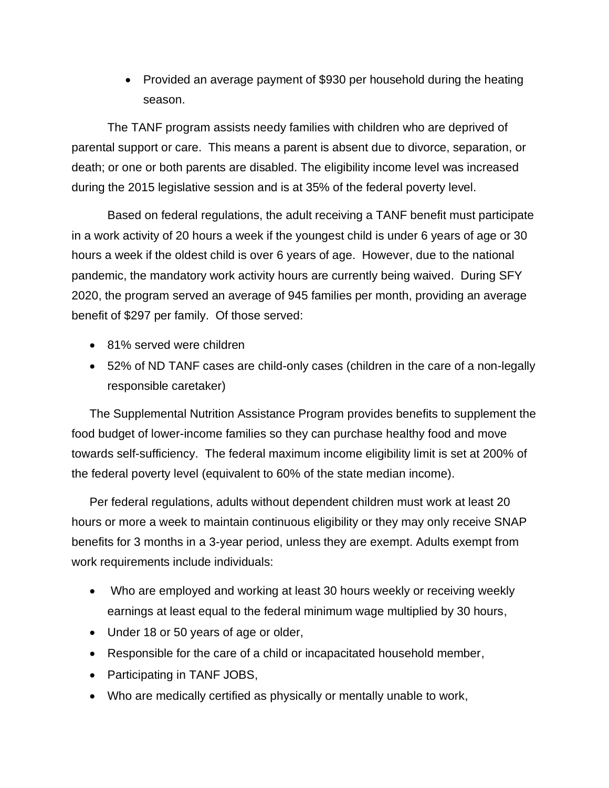• Provided an average payment of \$930 per household during the heating season.

The TANF program assists needy families with children who are deprived of parental support or care. This means a parent is absent due to divorce, separation, or death; or one or both parents are disabled. The eligibility income level was increased during the 2015 legislative session and is at 35% of the federal poverty level.

Based on federal regulations, the adult receiving a TANF benefit must participate in a work activity of 20 hours a week if the youngest child is under 6 years of age or 30 hours a week if the oldest child is over 6 years of age. However, due to the national pandemic, the mandatory work activity hours are currently being waived. During SFY 2020, the program served an average of 945 families per month, providing an average benefit of \$297 per family. Of those served:

- 81% served were children
- 52% of ND TANF cases are child-only cases (children in the care of a non-legally responsible caretaker)

The Supplemental Nutrition Assistance Program provides benefits to supplement the food budget of lower-income families so they can purchase healthy food and move towards self-sufficiency. The federal maximum income eligibility limit is set at 200% of the federal poverty level (equivalent to 60% of the state median income).

Per federal regulations, adults without dependent children must work at least 20 hours or more a week to maintain continuous eligibility or they may only receive SNAP benefits for 3 months in a 3-year period, unless they are exempt. Adults exempt from work requirements include individuals:

- Who are employed and working at least 30 hours weekly or receiving weekly earnings at least equal to the federal minimum wage multiplied by 30 hours,
- Under 18 or 50 years of age or older,
- Responsible for the care of a child or incapacitated household member,
- Participating in TANF JOBS,
- Who are medically certified as physically or mentally unable to work,